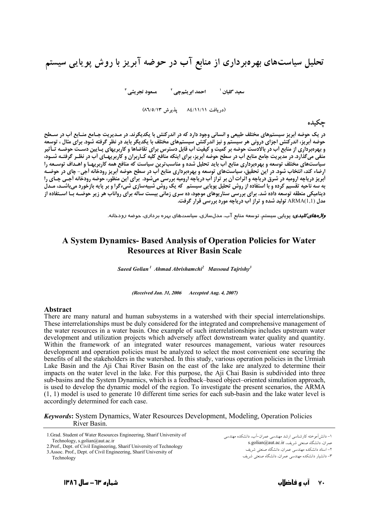تحلیل سیاستهای بهرهبرداری از منابع آب در حوضه آبریز با روش پویایی سیستم

(دریافت ۸٤/١١/١١ - پذیرش ۸٦/٥/١٣)

حكىدە

در یک حوضه اَبریز سیستمهای مختلف طبیعی و انسانی وجود دارد که در اندرکنش با یکدیگرند. در مـدیریت جـامع منـابع اَب در سـطح منفی میگذارد. در مدیریت جامع منابع آب در سطح حوضه آبریز، برای اینکه منافع کلیه کـاربران و کاربریهـای آب در نظـر گرفتـه شـود، سیاستهای مختلف توسعه و بهرهبرداری منابع أب باید تحلیل شده و مناسبترین سیاست که منافع همه کاربریهـا و اهـداف توسـعه را ارضاء کند، آنتخاب شود. در این تحقیق، سیاستهای توسعه و بهرهبرداری منابع اَب در سطح حوضه آبریز رودخانه آجی- چای در حوضـه ار در مستقل کردهای کرد.<br>ابریز دریاچه ارومیه در شرق دریاچه و اثرات آن بر تراز آب دریاچه ارومیه بررسی می شود. برای این منظور، خوضه رودخانه آجـی چـای را . دیگر در به سرکرد کرد کرد که به سوده از روش تحلیل پویایی سیستم که یک روش شبیهسازی شیءگرا و بر پایه بازخورد میباشـد، مـدل .<br>دینامیکی منطقه توسعه داده شد. برای بررسی سناریوهای موجود، ده سری زمانی بیست ساله برای رواناب هر زیر حوضــه بـا اســتفاده از مدل (ARMA(1,1 تولید شده و تراز آب دریاچه مورد بررسی قرار گرفت.

.<br>*واژههای کلیدی:* بویایی سیستم، توسعه منابع آب، مدلسازی، سیاستهای بهره بر داری، جوضه رودخانه.

## A System Dynamics- Based Analysis of Operation Policies for Water **Resources at River Basin Scale**

Saeed Golian<sup>1</sup> Ahmad Abrishamchi<sup>2</sup> Massoud Tajrishy<sup>3</sup>

(Received Jan. 31, 2006 Accepted Aug. 4, 2007)

## **Abstract**

There are many natural and human subsystems in a watershed with their special interrelationships. These interrelationships must be duly considered for the integrated and comprehensive management of the water resources in a water basin. One example of such interrelationships includes upstream water development and utilization projects which adversely affect downstream water quality and quantity. Within the framework of an integrated water resources management, various water resources development and operation policies must be analyzed to select the most convenient one securing the benefits of all the stakeholders in the watershed. In this study, various operation policies in the Urmiah Lake Basin and the Aji Chai River Basin on the east of the lake are analyzed to determine their impacts on the water level in the lake. For this purpose, the Aji Chai Basin is subdivided into three sub-basins and the System Dynamics, which is a feedback-based object-oriented simulation approach, is used to develop the dynamic model of the region. To investigate the present scenarios, the ARMA  $(1, 1)$  model is used to generate 10 different time series for each sub-basin and the lake water level is accordingly determined for each case.

**Keywords:** System Dynamics, Water Resources Development, Modeling, Operation Policies River Basin.

1. Grad. Student of Water Resources Engineering, Sharif University of Technology, s.golian@aut.ac.ir

2. Prof., Dept. of Civil Engineering, Sharif University of Technology

3. Assoc. Prof., Dept. of Civil Engineering, Sharif University of

١- دانش آموخته كارشناسي ارشد مهندسي عمران-آب، دانشكده مهندسي عمران، دانشگاه صنعتی شریف، s.golian@aut.ac.ir

۲- استاد دانشکده مهندسی عمران، دانشگاه صنعتی شریف

٣- دانشبار دانشکده مهندسی عمران، دانشگاه صنعتی شریف

Technology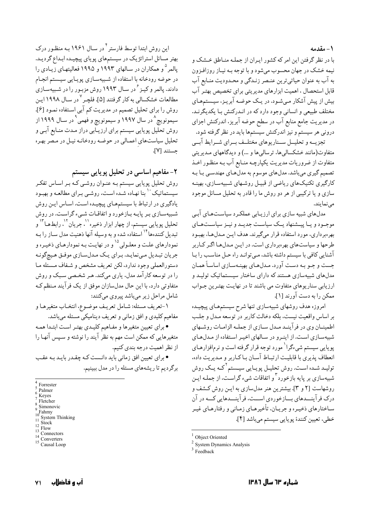1- مقدمه

ا در نظر گرفتن این امر که کشور ایـران از جملـه منـاطق خـشک و ļ نیمه خشک در جهان محسوب میشود و با توجه بـه نیـاز روزافـزون به اب به عنوان حیاتیترین عنـصر زنـدگی و محـدودیت منـابع اب قابل استحصال ، اهمیت ابزارهای مدیریتی برای تخصیص بهتـر اب بیش از پیش اشکار میشود. در یـک حوضـه ابریـز، سیـستمهـای مختلف طبیعی و انسانی وجود دارد که در انـدرکنش بـا یکدیگرنـد. در مدیریت جامع منابع اب در سطح حوضه ابریز، اندرکنش اجزای درونی هر سیستم و نیز اندرکنش سیستمها باید در نظر گرفته شود.

تجزیــه و تحلیــل ســناریوهای مختلــف بــرای شــرایط ابــی متفاوت(مانند خشکسالیها، ترسالیها و …) و دیدگاههای مـدیریتی متفاوت از ضروریات مدیریت یکپارچـه منـابع اب بـه منظـور اخـذ تصمیم گیری میباشد. مدلهای موسوم به مدلهـای مهندسـی بـا بـه کارگیری تکنیکهای ریاضی از قبیـل روشـهای شـبیهسـازی، بهینـه سازی و یا ترکیبی از هر دو روش ما را قادر به تحلیل مسائل موجود مىنمايند.

مدلهای شبیه سازی برای ارزیـابی عملکـرد سیاسـتهـای ابـی موجــود و يــا پيـــشنهاد يــك سياســت جديــد و نيــز سياســتهــاي بهرهبرداری، مورد استفاده قرار میگیرند. هدف ایـن مـدلهـا، بهبـود طرحها و سیاستهای بهرهبرداری است. در ایـن مـدلهـا اگـر کـاربر اشنایی کافی با سیستم داشته باشد، مـیتوانـد راه حـل مناسـب را بـا جست و جــو بــه دســت اورد. مــدلهــاي بهينــهســازي اساســا همــان مدلهای شبیهسازی هستند که دارای ساختار سیـستماتیک تولیـد و ارزیابی سناریوهای متفاوت می باشند تا در نهایـت بهتـرین جـواب ممكن را به دست آورند [۱].

امروزه هدف روشهای شبیهسازی تنها شرح سیستمهـای پیچیـده بر اساس واقعیت نیست، بلکه دخالت کاربر در توسعه مـدل و جلـب اطمینــان وی در فراینــد مــدل ســازی از جملــه الزامــات روشــهای شبیهسـازی اسـت. از اینـرو در سـالهای اخیـر اسـتفاده از مـدلهـای پویایی سیستم شیءگرا<sup>\</sup> مورد توجه قرار گرفته است و نرم|فزارهـای انعطاف پذیری با قابلیت ارتبـاط اسـان بـاکـاربر و مـدیریت داده. تولیـد شــده اســت. روش تحلیــل پویــایی سیــستم <sup>۲</sup>کــه یــک روش شبیهسازی بر پایه بازخورد<sup>۳</sup> و اتفاقات شیء گراست، از جملـه ایـن روشهاست [۲ و ۳]. بیشترین هنر مدلسازی به ایـن روش کـشف و درک فراینـــدهای بـــازخوردی اســـت، فراینـــدهایی کـــه در ان ساختارهای ذخیـره و جریـان، تاخیرهـای زمـانی و رفتارهـای غیـر خطي، تعيين كنندۂ پويايي سيستم ميباشد [۴].

Object Oriented

<sup>2</sup> System Dynamics Analysis

این روش ابتدا توسط فارستر<sup>۴</sup> در سـال ۱۹۶۱ بـه منظـور درک بهتر مسائل استراتژیک در سیستمهای پویای پیچیـده ابـداع گردیـد. پالمر <sup>۵</sup>و همکاران در سـالهای ۱۹۹۳ و ۱۹۹۵ فعالیتهـای زیــادی را در حوضه رودخانه با استفاده از شـبیهسـازی پویـایی سیـستم انجـام دادند. پالمر و کیـز <sup>۶</sup> در سـال ۱۹۹۳ روش مزبـور را در شـبیهسـازی مطالعات خشکسالی به کار گرفتند [۵]. فلچـر<sup>۷</sup> در سـال ۱۹۹۸ ایـن روش را برای تحلیل تصمیم در مدیریت کم آبی استفاده نمـود [۶]. سیمونویچ<sup>۸</sup> در سال ۱۹۹۷ و سیمونویچ و فهمی<sup>۹</sup> در سـال ۱۹۹۹ از روش تحلیل پویایی سیستم برای ارزیـابی دراز مـدت منـابع ابـی و تحلیل سیاستهای اعمـالی در حوضـه رودخانـه نیـل در مـصر بهـره جستند [٧].

**۲** - مفاهیم اساسی در تحلیل پویایی سیستم

روش تحلیل پویایی سیستم بـه عنـوان روشـی کـه بـر اسـاس تفکـر سیستماتیک `` بنا نهـاده شـده اسـت، روشـي بـراي مطالعـه و بهبـود یادگیری در ارتباط با سیستمهـای پیچیـده اسـت. اسـاس ایـن روش شـبیهسـازی بـر پایـه بـازخورد و اتفاقـات شـیء گراسـت. در روش تحلیل پویایی سیستم، از چهار ابزار ذخیره``، جریان<sup>۰۱</sup>`، رابطهـا<sup>۱۳</sup>` و تبدیل کنندهها<sup>۱۴</sup> استفاده شده و به وسیله آنها ذهنیت مدل سـاز را بـه نمودارهای علت و معلـولی<sup>۱۵</sup> و در نهایـت بـه نمودارهـای ذخیـره و جريان تبـديل مـينمايـد. بـراي يـك مـدلسـازي موفـق هـيچگونـه دستورالعملي وجود ندارد، لكن تعريف مشخص و شـفاف مـسئله مـا را در توسعه کار امد مدل، یاری میکند. هـر شخـصی سـبک و روش متفاوتی دارد. با این حال مدلسازان موفق از یک فرایند مـنظم کـه شامل مراحل زیر میباشد پیروی میکنند:

١-تعريف مسئله: شـامل تعريـف موضـوع، انتخـاب متغيرهـا و مفاهیم کلیدی و افق زمانی و تعریف دینامیکی مسئله میباشد.

• برای تعیین متغیرها و مفـاهیم کلیـدی بهتـر اسـت ابتـدا همـه متغیرهایی که ممکن است مهم به نظر ایند را نوشته و سـپس انهـا را از نظر اهميت درجه بندي كنيم.

• برای تعیین افق زمانی باید دانـست کـه چقـدر بایـد بـه عقـب برگردیم تا ریشههای مسئله را در مدل ببینیم.

 $3$  Feedback

<sup>4</sup> Forrester<br>5 Palmer<br>6 Keyes<br>8 Simonovic<br>9 Simonovic<br>10 System Thinking<br>11 System Thinking<br>12 Stock<br>12 Flow<br>13 Connectors<br>14 Converters<br>15 Causal Loop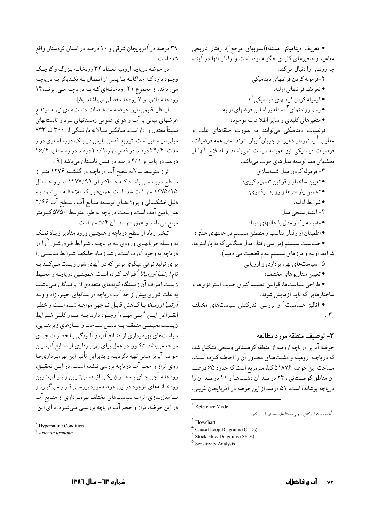● تعریف دینامیکی مسئله(اسلوبهای مرجع`): رفتار تاریخی مفاهیم و متغیرهای کلیدی چگونه بوده است و رفتار آنها در آینده چه روندي را دنبال ميكند.

٢-فرموله كردن فرضهاى ديناميكي • تعريف فرضهاي اوليه؛ • فرموله كردن فرضهاي ديناميكي<sup>٢</sup> ؛ • رسم روندنمای ۳ مسئله بر اساس فرضهای اولیه؛ • متغیرهای کلیدی و سایر اطلاعات موجود؛

.<br>فرضیات دینامیکی میتوانند به صورت حلقههای علت و معلولي<sup>ء</sup>َ يا نمودار ذخيره و جريان<sup>0</sup>بيان شوند. مثل همه فرضيات. فرضیات دینامیکی نیز همیشه درست نمیباشند و اصلاح آنها از بخشهای مهم توسعه مدلهای خوب میباشد.

٣-فرموله كردن مدل شبيهسازي • تعیین ساختار و قوانین تصمیم گیري؛ • تخمين پارامترها و روابط رفتاري؛ • شرايط اوليه. ۴-اعتبارسنجي مدل • مقايسه رفتار مدل با حالتهاى مبنا؛ • اطمینان از رفتار مناسب و مطمئن سیستم در حالتهای حدّی؛ • حساسیت سیستم (بررسی رفتار مدل هنگامی که به پارامترها، شرايط اوليه و مرزهاي سيستم عدم قطعيت مي دهيم). ۵- سیاستهای بهره برداری و ارزیابی • تعيين سناريوهاي مختلف؛ • طراحی سیاستها: قوانین تصمیم گیری جدید، استراتژیها و ساختارهایی که باید آزمایش شوند. • آنالیز حساسیت ٔ و بررسی اندرکنش سیاستهای مختلف  $[\mathbf{r}]$ 

۳- توصيف منطقه مورد مطالعه حوضه آبریز دریاچه ارومیه از منطقه کوهستانی وسیعی تشکیل شده که دریاچه ارومیـه و دشـتهـای مجـاور آن را احاطـه کـرده اسـت. مساحت این حوضه ۵۱۸۷۶ کیلومترمربع است که حدود ۶۵ درصد آن مناطق کوهستانی ، ۲۴ درصد آن دشتها و ۱۱ درصد آن را دریاچه پوشانده است. ۵۱ درصد از این حوضه در آذربایجان غرب.

۳۹ درصد در آذربایجان شرقی و ۱۰ درصد در استان کردستان واقع شده است.

در حوضه دریاچه ارومیه تعداد ۳۲ رودخانـه بـزرگ و کوچـک وجـود دارد کـه جداگانـه يـا پـس از اتـصال بـه يکـديگر بـه درياچـه میریزند. از مجموع ۲۱ رودخانهای که به دریاچه میریزند،۱۴ رودخانه دائمي و ٧ رودخانه فصلي ميباشند [٨].

از نظر اقلیمی، این حوضه مشخصات دشتهای نیمه مرتفع عرضهای میانی با آب و هوای عمومی زمستانهای سرد و تابستانهای نسبتاً معتدل را داراست. میانگین سالانه بارنـدگی از ۳۰۰ تا ۷۳۳ میلمیمتر متغیر است. توزیع فصلی بارش در یـک دوره آمـاری دراز مدت، ۳۹/۴ درصد در فصل بهار،۲۰/۱ درصد در زمستان، ۲۶/۴ درصد در پاییز و ۴/۱ درصد در فصل تابستان میباشد [۹].

تراز متوسط سالانه سطح آب دریاچـه در گذشـته ۱۲۷۶ متـر از سـطح دريــا مــي باشــدكــه حــداكثر آن ١٢٧٧/٩١ متــر و حــداقل ۱۲۷۵/۲۵ متر ثبت شده است. همان طور که ملاحظه می شود به دلیل خشکسالی و پروژههای توسعه منـابع آب ، سـطح آب ۲/۶۶ متر پایین آمده است. وسعت دریاچه به طور متوسط ۵۷۵۰کیلومتر مربع مي باشد و عمق متوسط آن ۵/۴ متر است.

تبخیر زیاد از سطح دریاچه و همچنین ورود مقادیر زیـاد نمـک به وسیله جریانهـای ورودی بـه دریاچـه ، شـرایط فـوق شـور <sup>۷</sup>را در دریاچه به وجود آورده است. رشد زیاد جلبکها شـرایط مناسـبی را برای تولید نوعی میگوی بومی که در آبهای شور زیست مـیکنـد بـه نام *آرتمیا اورمیانا*^فـراهم کـرده اسـت. همچنـین دریاچـه و محـیط زیست اطراف آن زیستگاه گونههای متعددی از پرنـدگان مـیباشـد. به علت شوري بيش از حدّ آب درياچه در سـالهاي اخيـر، زاد و ولـد *آرتمیا اورمیانا* بـاکـاهش قابـل تـوجهي مواجـه شـده اسـت و خطـر انقــراض ايــن "بــى مهــره" وجــود دارد. بــه طــور كلــى شــرايط زیسست محیطی منطقه به دلیل ساخت و سازهای زیربنایی، سیاستهای بهرهبرداری از منـابع آب و آلـودگی بـا خطـرات جـدّی مواجه میباشد. تاکنون در عمل برای بهرهبرداری از منـابع آب ایـن حوضه آبریز مدلی تهیه نگردیده و بنابراین تأثیر این بهرهبرداریهـا روی تراز و حجم آب دریاچه بررسی نـشده اسـت. در ایـن تحقیـق، رودخانه آجي چـاي بـه عنـوان يکـي از اصـليترين و پـر آبتـرين رودخـانـههای موجود در این حوضه مورد بررسـی قـرار مـیگیـرد و بــا مدلسازي اثرات سياستهاي مختلف بهرهبـرداري از منـابع آب در این حوضه، تراز و حجم آب دریاچه بررسـی مـیشـود. برای این

 $1$  Reference Mode

۲<br>به نحوی که اندرکنش درونی ساختارهای سیستم را در بر گیرد

 $3$  Flowchart

<sup>&</sup>lt;sup>4</sup> Causal Loop Diagrams (CLDs)

 $5$  Stock-Flow Diagrams (SFDs)

<sup>&</sup>lt;sup>6</sup> Sensitivity Analysis

 $7$  Hypersaline Condition

<sup>8&</sup>lt;br>Artemia urmiana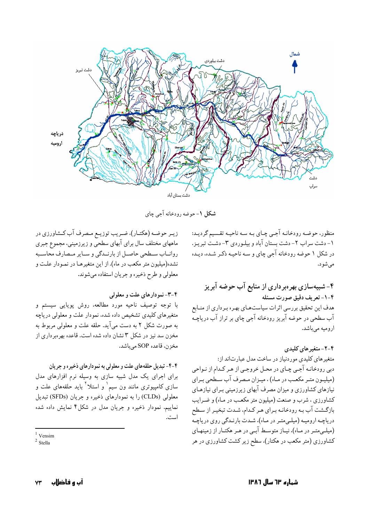

**شکل ۱**–حوضه رودخانه اجی چای

زیـر حوضـه (هکتـار)، ضـریب توزیـع مـصرف اب کـشاورزي در ماههای مختلف سال برای ابهای سطحی و زیرزمینی، مجموع جبری روانــاب ســطحى حاصــل از بارنــدگى و ســاير مــصارف محاســبه نشده(میلیون متر مکعب در ماه). از این متغیرهـا در نمـودار علـت و معلولي و طرح ذخيره و جريان استفاده ميشوند.

## **۴-۳-** نمودارهای علت و معلولی

ا توجه توصيف ناحيه مورد مطالعه، روش پويايى سيستم و ļ متغیرهای کلیدی تشخیص داده شده، نمودار علت و معلولی دریاچه به صورت شکل ۲ به دست می|ید. حلقه علت و معلولی مربوط به مخزن سد نیز در شکل ۳ نشان داده شده است. قاعده بهرهبرداری از مخزن، قاعده SOP مىباشد.

**1**-۴- تبدیل حلقههای علت و معلولی به نمودارهای ذخیره و جریان برای اجرای یک مدل شبیه سازی به وسیله نرم افزارهای مدل سازی کامپیوتری مانند ون سیم` و استلا<sup>۲</sup> باید حلقههای علت و ļ معلولی (CLDs) را به نمودارهای ذخیره و جریان (SFDs) تبدیل نماییم. نمودار ذخیره و جریان مدل در شکل۴ نمایش داده شده است. منظور، حوضـه رودخانـه اجـي چـاي بـه سـه ناحيـه تقـسيم گرديـد: 1- دشت سراب ٢- دشت بستان اباد و بيلـوردي ٣- دشـت تبريـز. در شکل ۱ حوضه رودخانه اجی چای و سـه ناحیـه ذکـر شـده، دیـده مي شو د.

## **\*%7íj D7 W5 6 5/"P -? ;£J :ì c"# G% - --?**

هدف این تحقیق بررسی اثرات سیاستهـای بهـره بـرداری از منـابع اب سطحی در حوضه ابریز رودخانه اجی چای بر تراز اب دریاچـه اروميه ميباشد.

**8-۲- متغیر های کلیدی** متغیرهای کلیدی موردنیاز در ساخت مدل عبارتاند از: دبی رودخانـه اجـی چـای در محـل خروجـی از هـر کـدام از نـواحی (میلیـون متـر مکعـب در مـاه) ، میـزان مـصرف اب سـطحي بـراي نیازهای کشاورزی و میزان مصرف ابهای زیرزمینی بـرای نیازهـای کشاورزی ، شرب و صنعت (میلیون متر مکعب در مـاه) و ضـرایب ازگـشت اب بـه رودخانـه بـراي هـر كـدام، شـدت تبخيـر از سـطح ļ دریاچـه ارومیـه (میلـیمتـر در مـاه)، شـدت بارنـدگی روی دریاچـه (میلـیمتـر در مـاه)، نیــاز متوسـط ابــی در هــر هکتــار از زمینهـای کشاورزی (متر مکعب در هکتار). سطح زیر کشت کشاورزی در هر

 $1$  Vensim

 $<sup>2</sup>$  Stella</sup>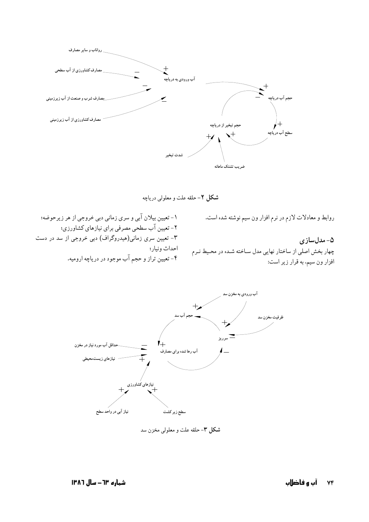

شکل ۲- حلقه علت و معلولی دریاچه

روابط و معادلات لازم در نرم افزار ون سیم نوشته شده است.

۱- تعیین بیلان آبی و سری زمانی دبی خروجی از هر زیرحوضه؛ ۲- تعیین آب سطحی مصرفی برای نیازهای کشاورزی؛ ۳- تعیین سری زمانی(هیدروگراف) دبی خروجی از سد در دست احداث ونيار؛ ۴- تعیین تراز و حجم آب موجود در دریاچه ارومیه.

۵- مدلسازی چهار بخش اصلی از ساختار نهایی مدل ساخته شده در محیط نرم افزار ون سيم، به قرار زير است:



شکل ۳- حلقه علت و معلولی مخزن سد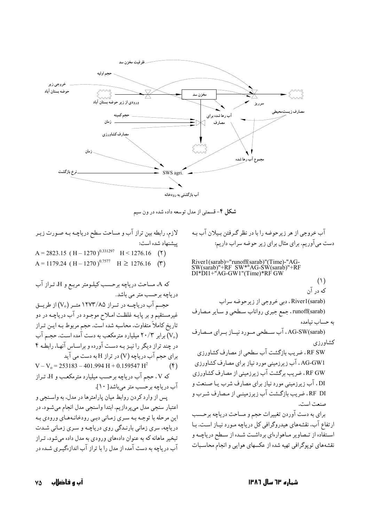

**شکل ۴**– قسمتی از مدل توسعه داده شده در ون سیم

اب خروجي از هر زيرحوضه را با در نظر گـرفتن بـيلان اب بـه دست می|وریم. برای مثال برای زیر حوضه سراب داریم:

River1(sarab)="runoff(sarab)"(Time)-"AG-SW(sarab)"+RF SW\*"AG-SW(sarab)"+RF DI\*DI1+"AG-GW1"(Time)\*RF GW  $(1)$ که در آن River1(sarab) ، دبي خروجي از زير حوضه سراب runoff(sarab) جمع جبری رواناب سطحی و سـایر مـصارف به حساب نیامده (AG-SW(sarab . اب ســطحی مــورد نیــاز بــرای مــصارف كشاورزي RF SW، ضریب بازگشت اب سطحی از مصارف کشاورزی AG-GW1 ، آب زیرزمینی مورد نیاز برای مصارف کشاورزی RF GW ، ضریب برگشت اب زیرزمینی از مصارف کشاورزی DI ، اب زیرزمینی مورد نیاز برای مصارف شرب یـا صـنعت و RF DI ، ضریب بازگـشت آب زیرزمینـی از مـصارف شـرب و صنعت است. برای به دست اوردن تغییرات حجم و مساحت دریاچه برحـسب ارتفاع اب. نقشههای هیدروگرافی کل دریاچه مـورد نیــاز اسـت. بــا

اسـتفاده از تـصاوير مـاهوارهاي برداشــت شــده از ســطح درياچــه و نقشههای توپوگرافی تهیه شده از عکسهای هوایی و انجام محاسـبات

لازم، رابطه بین تراز اب و مساحت سطح دریاچـه بـه صـورت زیـر پیشنهاد شده است:

 $A = 2823.15$  (H – 1270)<sup>0.331297</sup>  $H < 1276.16$  (Y)  $A = 1179.24$  (H – 1270)<sup>0.7577</sup>  $H \ge 1276.16$  (\*)

که A، مساحت دریاچه برحـسب کیلـومتر مربـع و H، تـراز آب دریاچه برحسب متر می باشد. حجــم اب دریاچــه در تــراز ۱۲۷۳/۸۵ متــر (V<sub>o</sub>) از طریــق غیرمستقیم و بر پایــه غلظـت امــلاح موجــود در اب دریاچــه در دو تاریخ کاملاً متفاوت. محاسبه شده است. حجم مربوط بـه ایـن تـراز (V<sub>o</sub>) برابر ۲۰/۳ میلیارد مترمکعب به دست آمده است. حجـم اب در چند تراز دیگر را نیـز بـه دسـت اورده و براسـاس انهـا، رابطـه ۴ برای حجم آب دریاچه (V) در تراز H به دست می آید  $V - V_0 = 253183 - 401.994 H + 0.159547 H^2$  (f)

که V . حجم آب دریاچه برحسب میلیارد مترمکعب و H. تـراز اب دریاچه برحسب متر میباشد[ ۱۰].

پس از وارد کردن روابط میان پارامترها در مدل. به واسـنجي و اعتبار سنجي مدل ميپردازيم. ابتدا واسنجي مدل انجام ميشـود. در این مرحله با توجــه بــه سـری زمـانی دبــی رودخانــههـای ورودی بــه دریاچه، سری زمانی بارنـدگی روی دریاچـه و سـری زمـانی شـدت تبخیر ماهانه که به عنوان دادههای ورودی به مدل داده میشود، تـراز اب در یاچه به دست امده از مدل را با تراز اب اندازهگیـری شــده در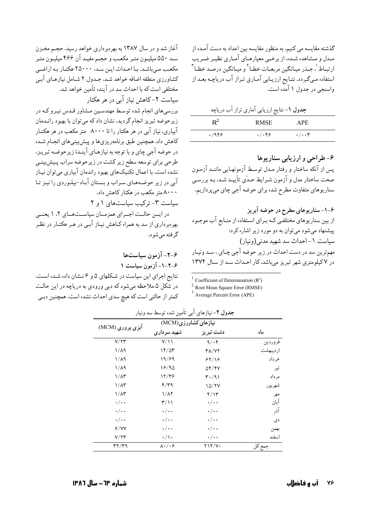گذشته مقایسه می کنیم. به منظور مقایسه بین اعداد به دست آمـده از مـدل و مـشاهده شـده، از برخـي معيارهـاي آمـاري نظيـر ضـريب ارتبـاط <sup>۱</sup> جـذر میـانگین مربعـات خطـا<sup>۲</sup> و میـانگین درصـد خطـا<sup>۳</sup> استفاده مـیگـردد. نتـایج ارزیـابی آمـاری تـراز آب دریاچـه بعـد از واسنجي در جدول ۱ آمده است.

|       | جدول ۱– نتایج ارزیابی آماری تراز آب دریاچه |                      |
|-------|--------------------------------------------|----------------------|
| $R^2$ | <b>RMSE</b>                                | <b>APE</b>           |
| .7959 | . /                                        | $\cdot/\cdot\cdot$ ۳ |

۶- طراحی و ارزیابی سناریوها پس از آنکه ساختار و رفتار مـدل توسـط آزمونهـايي ماننـد آزمـون صحت ساختار مدل و آزمون شـرايط حـدّي تأييـد شـد، بـه بررسـي سناریوهای متفاوت مطرح شده برای حوضه آجی چای میپردازیم.

| <sup>1</sup> Coefficient of Determination $(R^2)$ |  |
|---------------------------------------------------|--|
|                                                   |  |

 $2$  Root Mean Square Error (RMSE)

 $^3$  Average Percent Error (APE)

| سـد ۵۵۰ میلیـون متـر مکعـب و حجـم مفیـد آن ۴۶۶ میلیـون متـر<br>مکعب میباشد. بـا احـداث ایـن سـد، ۲۵۰۰۰ هکتـار بـه اراضـی<br>کشاورزی منطقه اضافه خواهد شـد. جـدول ۲ شـامل نیازهـای آبـی<br>مختلفي است كه با احداث سد در آينده تأمين خواهد شد.<br>سیاست ۲–کاهش نیاز آبی در هر هکتار<br>بررسیهای انجام شده توسط مهندسین مشاور قـدس نیـرو کـه در<br>زیرحوضه تبریز انجام گردید، نشان داد که میتوان با بهبود رانـدمان<br>آبیاری، نیاز آبی در هر هکتار را تا ۸۰۰۰ متر مکعب در هر هکتـار<br>کاهش داد. همچنین طبق برنامهریزیها و پیش بینیهای انجـام شـده<br>در حوضه آجي چاي و با توجه به نيازهـاي آينـدۀ زيرحوضـه تبريـز،<br>طرحی برای توسعه سطح زیر کشت در زیرحوضه سراب پـیشږینـی<br>نشده است. با اعمال تکنیکهای بهبود راندمان آبیاری میتوان نیـاز<br>آبی در زیر حوضـههـای سـراب و بـستان آبـاد-بیلـوردی را نیـز تـا<br>۸۰۰۰ متر مکعب در هکتار کاهش داد.<br>سیاست ۳- ترکیب سیاستهای ۱ و ۲<br>در ایسن حالـت اجــرای همزمـان سیاســتهـای ۲، ۱ یعنــی<br>بهرهبرداری از سد به همراه کـاهش نیـاز آبـی در هـر هکتـار در نظـر | آغاز شد و در سال ۱۳۸۷ به بهرهبرداری خواهد رسید. حجـم مخــزن |
|----------------------------------------------------------------------------------------------------------------------------------------------------------------------------------------------------------------------------------------------------------------------------------------------------------------------------------------------------------------------------------------------------------------------------------------------------------------------------------------------------------------------------------------------------------------------------------------------------------------------------------------------------------------------------------------------------------------------------------------------------------------------------------------------------------------------------------------------------------------------------------------------------------------------------------------------------------------------------------------------------------------|-------------------------------------------------------------|
|                                                                                                                                                                                                                                                                                                                                                                                                                                                                                                                                                                                                                                                                                                                                                                                                                                                                                                                                                                                                                |                                                             |
|                                                                                                                                                                                                                                                                                                                                                                                                                                                                                                                                                                                                                                                                                                                                                                                                                                                                                                                                                                                                                |                                                             |
|                                                                                                                                                                                                                                                                                                                                                                                                                                                                                                                                                                                                                                                                                                                                                                                                                                                                                                                                                                                                                |                                                             |
|                                                                                                                                                                                                                                                                                                                                                                                                                                                                                                                                                                                                                                                                                                                                                                                                                                                                                                                                                                                                                |                                                             |
|                                                                                                                                                                                                                                                                                                                                                                                                                                                                                                                                                                                                                                                                                                                                                                                                                                                                                                                                                                                                                |                                                             |
|                                                                                                                                                                                                                                                                                                                                                                                                                                                                                                                                                                                                                                                                                                                                                                                                                                                                                                                                                                                                                |                                                             |
|                                                                                                                                                                                                                                                                                                                                                                                                                                                                                                                                                                                                                                                                                                                                                                                                                                                                                                                                                                                                                |                                                             |
|                                                                                                                                                                                                                                                                                                                                                                                                                                                                                                                                                                                                                                                                                                                                                                                                                                                                                                                                                                                                                |                                                             |
|                                                                                                                                                                                                                                                                                                                                                                                                                                                                                                                                                                                                                                                                                                                                                                                                                                                                                                                                                                                                                |                                                             |
|                                                                                                                                                                                                                                                                                                                                                                                                                                                                                                                                                                                                                                                                                                                                                                                                                                                                                                                                                                                                                |                                                             |
|                                                                                                                                                                                                                                                                                                                                                                                                                                                                                                                                                                                                                                                                                                                                                                                                                                                                                                                                                                                                                |                                                             |
|                                                                                                                                                                                                                                                                                                                                                                                                                                                                                                                                                                                                                                                                                                                                                                                                                                                                                                                                                                                                                |                                                             |
|                                                                                                                                                                                                                                                                                                                                                                                                                                                                                                                                                                                                                                                                                                                                                                                                                                                                                                                                                                                                                |                                                             |
|                                                                                                                                                                                                                                                                                                                                                                                                                                                                                                                                                                                                                                                                                                                                                                                                                                                                                                                                                                                                                |                                                             |
|                                                                                                                                                                                                                                                                                                                                                                                                                                                                                                                                                                                                                                                                                                                                                                                                                                                                                                                                                                                                                |                                                             |
|                                                                                                                                                                                                                                                                                                                                                                                                                                                                                                                                                                                                                                                                                                                                                                                                                                                                                                                                                                                                                |                                                             |
|                                                                                                                                                                                                                                                                                                                                                                                                                                                                                                                                                                                                                                                                                                                                                                                                                                                                                                                                                                                                                |                                                             |
|                                                                                                                                                                                                                                                                                                                                                                                                                                                                                                                                                                                                                                                                                                                                                                                                                                                                                                                                                                                                                | گرفته ميشود.                                                |

۶-۲- آزمون سیاستها ۶-۲-۱- آزمون سیاست ۱ نتايج اجراي اين سياست در شكلهاي ۵ و ۶ نـشان داده شـده اسـت. در شکل ۵ ملاحظه میشود که دبی ورودی به دریاچه در این حالت کمتر از حالتی است که هیچ سدی احداث نشده است. همچنین دبـی

|                    | نیازهای کشاورزی(MCM)             |                                  |          |
|--------------------|----------------------------------|----------------------------------|----------|
| ابزی پروری (MCM)   | شهيد سرداري                      | دشت تبريز                        | ماه      |
| Y/YY               | $Y/\Upsilon$                     | 9/6                              | فروردين  |
| $1/\lambda$ ۹      | 16/25                            | <b>۳۸/۷۲</b>                     | ارديبهشت |
| $1/\lambda$ ۹      | 19/69                            | 84/19                            | خرداد    |
| $1/\lambda$ ۹      | 18/90                            | $\Delta f / fV$                  | تير      |
| $1/\lambda$ ۳      | 12/۳۶                            | $\mathsf{r}\cdot\mathsf{a}\cdot$ | مرداد    |
| $1/\lambda$ ۳      | ۴/۳۹                             | 10/۲۷                            | شهريور   |
| $1/\lambda$ ۳      | $1/\lambda$                      | f/Y                              | مهر      |
| $\cdot/\cdot\cdot$ | $\mathsf{r}/\mathsf{N}$          | $\cdot/\cdot\cdot$               | آبان     |
| $\cdot/\cdot\cdot$ | $\cdot/\cdot\cdot$               | $\cdot/\cdot\cdot$               | آذر      |
| $\cdot/\cdot\cdot$ | $\cdot/\cdot\cdot$               | $\cdot/\cdot\cdot$               | دی       |
| 9/YY               | $\cdot/\cdot\cdot$               | $\cdot/\cdot\cdot$               | بهمن     |
| Y/Y                | $\cdot/\wedge \cdot$             | $\cdot/\cdot\cdot$               | اسفند    |
| ۳۲/۳۹              | $\lambda \cdot / \cdot \epsilon$ | ۲۱۴/۷۰                           | حمع کا   |

در دار ۲ - : از دام آر بتأمین شده بر در دارد.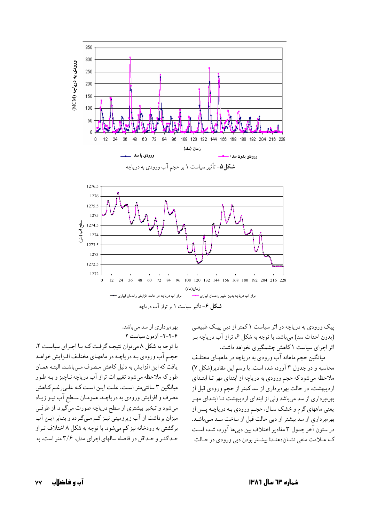

بهرهبرداري از سد ميباشد. **!/"/ 357 ---ñ** ا توجه به شکل ۸ میتوان نتیجـه گرفـت کـه بـا اجـرای سیاسـت ۲. ļ حجـم اب ورودي بـه درياچـه در ماههـاي مختلـف افـزايش خواهـد یافت که این افزایش به دلیل کاهش مـصرف مـیباشـد. البتـه همـان طور که ملاحظه میشود تغییرات تراز اب دریاچه نـاچیز و بـه طـور میانگین ۳ سانتی متر است. علت ایـن اسـت کـه علـی(غـم کـاهش مصرف و افزایش ورودی به دریاچـه، همزمـان سـطح اب نیـز زیـاد میشود و تبخیر بیشتری از سطح دریاچه صورت میگیرد. از طرفـی میزان برداشت از اب زیرزمینی نیـز کــم مـیگــردد و بنــابر ایــن اب برگشتی به رودخانه نیز کم میشود. با توجه به شکل ۸ اختلاف تـراز حـداکثـر و حـداقل در فاصله سالهای اجرای مدل، ۳/۶ متر است. به پیک ورودی به دریاچه در اثر سیاست ۱ کمتر از دبی پیک طبیعـی (بدون احداث سد) میباشد. با توجه به شکل ۶. تراز اب دریاچه بـر اثر اجرای سیاست ۱ کاهش چشمگیری نخواهد داشت.

میانگین حجم ماهانه اب ورودی به دریاچه در ماههـای مختلـف محاسبه و در جدول ۳ اورده شده است. با رسم این مقادیر(شکل ۷) ملاحظه میشود که حجم ورودی به دریاچه از ابتدای مهر تـا ابتـدای اردیبهشت، در حالت بهرهبرداری از سد کمتر از حجم ورودی قبل از بهرهبرداری از سد میباشد ولی از ابتدای اردیبهشت تـا ابتـدای مهـر یعنی ماههای گرم و خشک سـال، حجـم ورودی بـه دریاچـه پـس از بهرهبرداری از سد بیشتر از دبی حالت قبل از ساخت سـد مـیباشـد. در ستون اخر جدول ۳ مقادیر اختلاف بین دبیها اورده شـده اسـت کـه عــلامت منفي نشــاندهنــدۀ بيشــتر بودن دبي ورودي در حــالت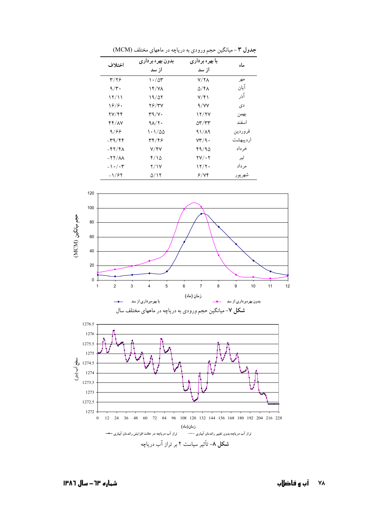| اختلاف                          | بدون بهره برداري<br>از سد | با بهره برداری<br>از سد                         | ماه       |
|---------------------------------|---------------------------|-------------------------------------------------|-----------|
| ۳/۲۶                            | $\cdot$ /0۳               | $V/Y\Lambda$                                    | مهر       |
| $9/\tau$ .                      | <b>۱۴/۷۸</b>              | ۵/۴۸                                            | آبان      |
| ۱۲/۱۱                           | 19/07                     | ۷/۴۱                                            | آذر       |
| ۱۶/۶۰                           | <b>78/۳۷</b>              | 9/YY                                            | دی        |
| 77/44                           | $r9/Y$ .                  | 12/27                                           | بهمن      |
| ۴۴/۸۷                           | $9\lambda$ / $\gamma$ .   | $\Delta$ ۳/۳۳                                   | اسفند     |
| 9/88                            | ۱۰۱/۵۵                    | $91/\lambda$ 9                                  | فروردين   |
| -39/44                          | 39/46                     | $\mathsf{Y}\mathsf{Y}'\mathsf{A}\mathsf{\cdot}$ | ار دىبھشت |
| $-57/6$                         | Y/FY                      | 49/90                                           | خر داد    |
| $-11/\lambda$                   | ۲/۱۵                      | $\mathsf{Y}\mathsf{Y}/\cdot\mathsf{Y}$          | تير       |
| $-1$ $\cdot$ $/$ $\cdot$ $\tau$ | <b>Y/17</b>               | ۱۲/۲۰                                           | مر داد    |
| $-1/84$                         | ۵/۱۲                      | ۶/۷۴                                            | شهريور    |

جدول ٣ - میانگین حجم ورودي به دریاچه در ماههاي مختلف (MCM)





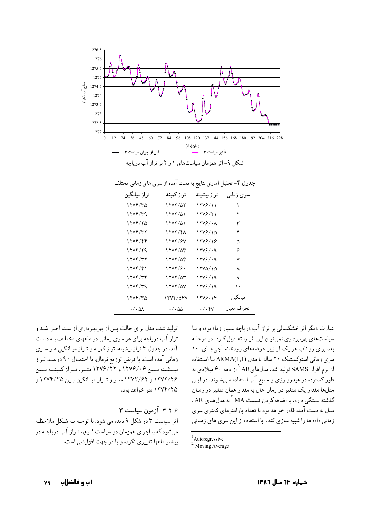

| تراز میانگین     | تر از کمینه          | تراز بيشينه      | سرى زمانى     |
|------------------|----------------------|------------------|---------------|
| ۱۲۷۴/۳۵          | 1777/07              | 1278/11          |               |
| ۲۲۷۴/۳۹          | $17YY/\Delta1$       | 1278/21          | ۲             |
| 1774/70          | $17YY/\Delta1$       | 1276/08          | ٣             |
| ۱۲۷۴/۳۲          | 1277/48              | ۱۲۷۶/۱۵          | ۴             |
| ۱۲۷۴/۴۴          | 1272/87              | 1278/18          | ۵             |
| 1274/79          | 1272/04              | 1278/09          | ۶             |
| ۱۲۷۴/۳۲          | ۱۲۷۲/۵۴              | 1278/09          | ٧             |
| ۱۲۷۴/۴۱          | $\frac{1}{\sqrt{2}}$ | ۱۲۷۵/۱۵          | ٨             |
| ۱۲۷۴/۳۴          | $17YY/\Delta r$      | 1278/19          | ٩             |
| ۲۲۷۴/۳۹          | ۱۲۷۲/۵۷              | 1278/19          | ۱۰            |
| ۱۲۷۴/۳۵          | 1777/047             | ۱۲۷۶/۱۴          | مىانگىن       |
| $\cdot/\cdot$ ۵۸ | ۰/۰۵۵                | $\cdot/\cdot$ ۴۷ | انحر اف معبار |

جدول ۴- تحلیل آماری نتایج به دست آمده از سری های زمانی مختلف

تولید شده، مدل برای حالت پس از بهرهبرداری از سد، اجـرا شـد و تراز آب دریاچه برای هر سری زمانی در ماههای مختلـف بـه دسـت آمد. در جدول ۴ تراز بیشینه، تراز کمینه و تـراز میـانگین هـر سـری زماني آمده است. با فرض توزيع نرمال، با احتمـال ٩٠ درصـد تـراز بیسشینه بسین ۱۲۷۶/۰۶ و ۱۲۷۶/۲۲ متسر، تسراز کمینسه بسین ۱۲۷۲/۴۶ و ۱۲۷۲/۶۴ متـر و تـراز ميـانگين بـين ۱۲۷۴/۲۵ و ۱۲۷۴/۴۵ متر خواهد بود.

۳-۲-۶- آزمون سیاست ۳

اثر سیاست ۳ در شکل ۹ دیده می شود. با توجـه بـه شـکل ملاحظـه می شود که با اجرای همزمان دو سیاست فیوق، تیراز آب در باچیه در يبشتر ماهها تغييري نكرده و يا در چهت افزايشي است. عبارت دیگر اثر خشکسالی بر تراز آب دریاچه بسیار زیاد بوده و بـا سیاستهای بهرهبرداری نمی توان این اثر را تعبدیل کبرد. در مرحلبه بعد برای رواناب هر یک از زیر حوضههای رودخانه آجی چای، ۱۰ سری زمانی استوکستیک ۲۰ ساله با مدل (ARMA(1,1 بـا استفاده از نرم افزار SAMS تولید شد. مدلهایAR <sup>۱</sup> از دهه ۶۰ میلادی به طور گسترده در هیدرولوژی و منابع آب استفاده مـیشـوند. در ایـن مدلها مقدار یک متغیر در زمان حال به مقدار همان متغیر در زمـان گذشته ىستگى دارد. با اضافه كردن قسمت MA <sup>۲</sup> به مدل *ه*ـاي AR . مدل به دست آمده قادر خواهد بود با تعداد پارامترهای کمتری سری زمانی داده ها را شبیه سازی کند. با استفاده از این سری های زمـانی

 $<sup>1</sup>$ Autoregressive</sup>

 $2$  Moving Average